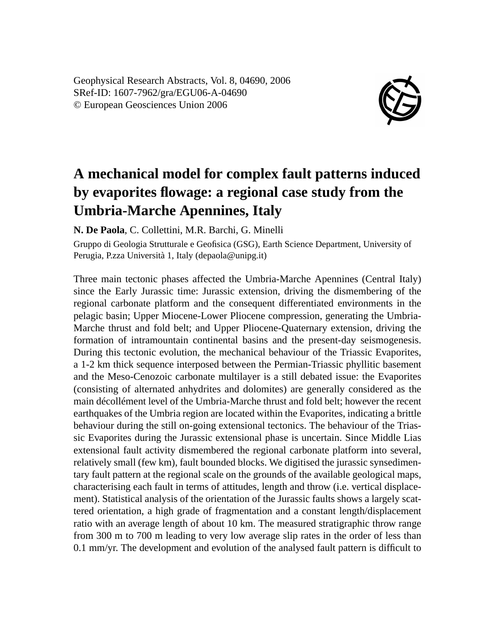Geophysical Research Abstracts, Vol. 8, 04690, 2006 SRef-ID: 1607-7962/gra/EGU06-A-04690 © European Geosciences Union 2006



## **A mechanical model for complex fault patterns induced by evaporites flowage: a regional case study from the Umbria-Marche Apennines, Italy**

**N. De Paola**, C. Collettini, M.R. Barchi, G. Minelli

Gruppo di Geologia Strutturale e Geofisica (GSG), Earth Science Department, University of Perugia, P.zza Università 1, Italy (depaola@unipg.it)

Three main tectonic phases affected the Umbria-Marche Apennines (Central Italy) since the Early Jurassic time: Jurassic extension, driving the dismembering of the regional carbonate platform and the consequent differentiated environments in the pelagic basin; Upper Miocene-Lower Pliocene compression, generating the Umbria-Marche thrust and fold belt; and Upper Pliocene-Quaternary extension, driving the formation of intramountain continental basins and the present-day seismogenesis. During this tectonic evolution, the mechanical behaviour of the Triassic Evaporites, a 1-2 km thick sequence interposed between the Permian-Triassic phyllitic basement and the Meso-Cenozoic carbonate multilayer is a still debated issue: the Evaporites (consisting of alternated anhydrites and dolomites) are generally considered as the main décollément level of the Umbria-Marche thrust and fold belt; however the recent earthquakes of the Umbria region are located within the Evaporites, indicating a brittle behaviour during the still on-going extensional tectonics. The behaviour of the Triassic Evaporites during the Jurassic extensional phase is uncertain. Since Middle Lias extensional fault activity dismembered the regional carbonate platform into several, relatively small (few km), fault bounded blocks. We digitised the jurassic synsedimentary fault pattern at the regional scale on the grounds of the available geological maps, characterising each fault in terms of attitudes, length and throw (i.e. vertical displacement). Statistical analysis of the orientation of the Jurassic faults shows a largely scattered orientation, a high grade of fragmentation and a constant length/displacement ratio with an average length of about 10 km. The measured stratigraphic throw range from 300 m to 700 m leading to very low average slip rates in the order of less than 0.1 mm/yr. The development and evolution of the analysed fault pattern is difficult to